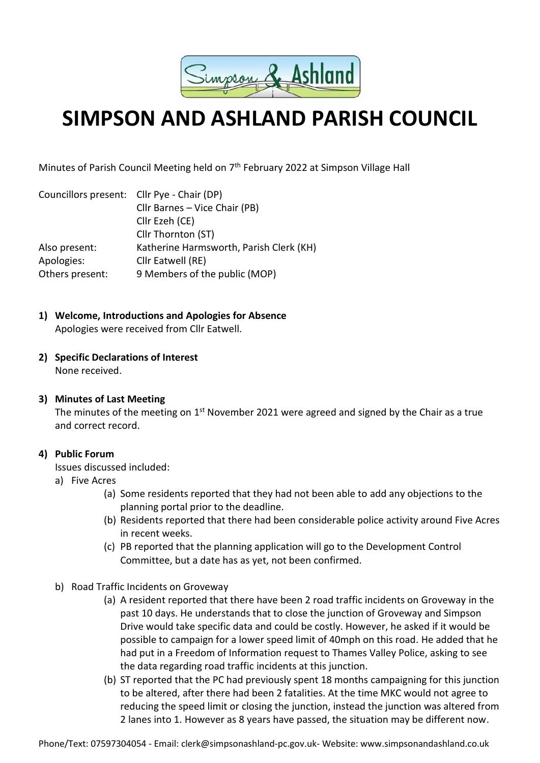

# **SIMPSON AND ASHLAND PARISH COUNCIL**

Minutes of Parish Council Meeting held on 7<sup>th</sup> February 2022 at Simpson Village Hall

| Councillors present: Cllr Pye - Chair (DP) |                                         |
|--------------------------------------------|-----------------------------------------|
|                                            | Cllr Barnes - Vice Chair (PB)           |
|                                            | Cllr Ezeh (CE)                          |
|                                            | Cllr Thornton (ST)                      |
| Also present:                              | Katherine Harmsworth, Parish Clerk (KH) |
| Apologies:                                 | Cllr Eatwell (RE)                       |
| Others present:                            | 9 Members of the public (MOP)           |
|                                            |                                         |

## **1) Welcome, Introductions and Apologies for Absence**

Apologies were received from Cllr Eatwell.

#### **2) Specific Declarations of Interest**  None received.

## **3) Minutes of Last Meeting**

The minutes of the meeting on  $1<sup>st</sup>$  November 2021 were agreed and signed by the Chair as a true and correct record.

## **4) Public Forum**

Issues discussed included:

- a) Five Acres
	- (a) Some residents reported that they had not been able to add any objections to the planning portal prior to the deadline.
	- (b) Residents reported that there had been considerable police activity around Five Acres in recent weeks.
	- (c) PB reported that the planning application will go to the Development Control Committee, but a date has as yet, not been confirmed.
- b) Road Traffic Incidents on Groveway
	- (a) A resident reported that there have been 2 road traffic incidents on Groveway in the past 10 days. He understands that to close the junction of Groveway and Simpson Drive would take specific data and could be costly. However, he asked if it would be possible to campaign for a lower speed limit of 40mph on this road. He added that he had put in a Freedom of Information request to Thames Valley Police, asking to see the data regarding road traffic incidents at this junction.
	- (b) ST reported that the PC had previously spent 18 months campaigning for this junction to be altered, after there had been 2 fatalities. At the time MKC would not agree to reducing the speed limit or closing the junction, instead the junction was altered from 2 lanes into 1. However as 8 years have passed, the situation may be different now.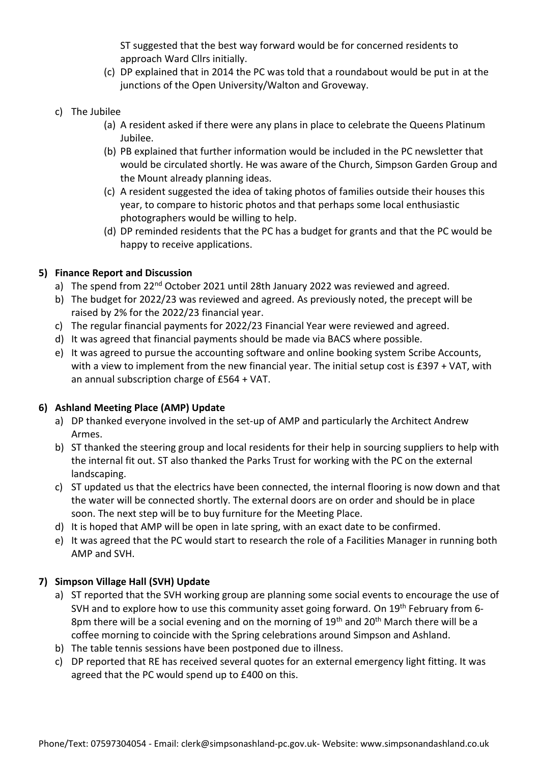ST suggested that the best way forward would be for concerned residents to approach Ward Cllrs initially.

- (c) DP explained that in 2014 the PC was told that a roundabout would be put in at the junctions of the Open University/Walton and Groveway.
- c) The Jubilee
	- (a) A resident asked if there were any plans in place to celebrate the Queens Platinum Jubilee.
	- (b) PB explained that further information would be included in the PC newsletter that would be circulated shortly. He was aware of the Church, Simpson Garden Group and the Mount already planning ideas.
	- (c) A resident suggested the idea of taking photos of families outside their houses this year, to compare to historic photos and that perhaps some local enthusiastic photographers would be willing to help.
	- (d) DP reminded residents that the PC has a budget for grants and that the PC would be happy to receive applications.

#### **5) Finance Report and Discussion**

- a) The spend from 22<sup>nd</sup> October 2021 until 28th January 2022 was reviewed and agreed.
- b) The budget for 2022/23 was reviewed and agreed. As previously noted, the precept will be raised by 2% for the 2022/23 financial year.
- c) The regular financial payments for 2022/23 Financial Year were reviewed and agreed.
- d) It was agreed that financial payments should be made via BACS where possible.
- e) It was agreed to pursue the accounting software and online booking system Scribe Accounts, with a view to implement from the new financial year. The initial setup cost is £397 + VAT, with an annual subscription charge of £564 + VAT.

#### **6) Ashland Meeting Place (AMP) Update**

- a) DP thanked everyone involved in the set-up of AMP and particularly the Architect Andrew Armes.
- b) ST thanked the steering group and local residents for their help in sourcing suppliers to help with the internal fit out. ST also thanked the Parks Trust for working with the PC on the external landscaping.
- c) ST updated us that the electrics have been connected, the internal flooring is now down and that the water will be connected shortly. The external doors are on order and should be in place soon. The next step will be to buy furniture for the Meeting Place.
- d) It is hoped that AMP will be open in late spring, with an exact date to be confirmed.
- e) It was agreed that the PC would start to research the role of a Facilities Manager in running both AMP and SVH.

## **7) Simpson Village Hall (SVH) Update**

- a) ST reported that the SVH working group are planning some social events to encourage the use of SVH and to explore how to use this community asset going forward. On 19<sup>th</sup> February from 6-8pm there will be a social evening and on the morning of  $19<sup>th</sup>$  and  $20<sup>th</sup>$  March there will be a coffee morning to coincide with the Spring celebrations around Simpson and Ashland.
- b) The table tennis sessions have been postponed due to illness.
- c) DP reported that RE has received several quotes for an external emergency light fitting. It was agreed that the PC would spend up to £400 on this.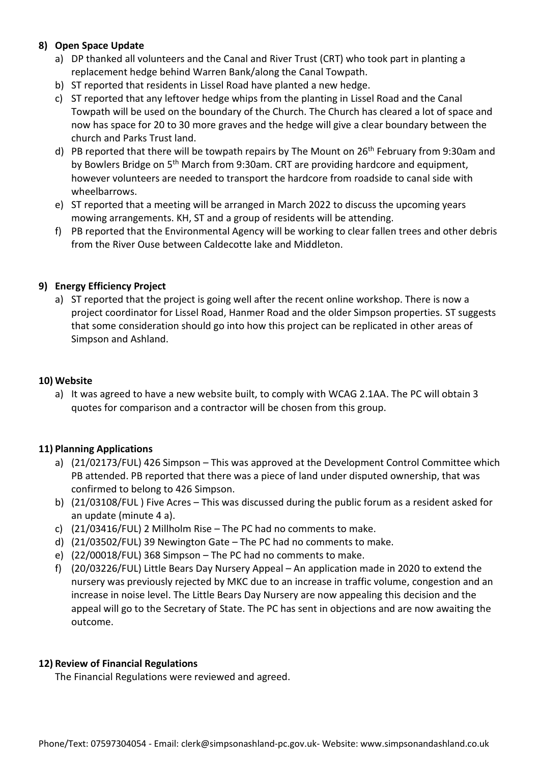## **8) Open Space Update**

- a) DP thanked all volunteers and the Canal and River Trust (CRT) who took part in planting a replacement hedge behind Warren Bank/along the Canal Towpath.
- b) ST reported that residents in Lissel Road have planted a new hedge.
- c) ST reported that any leftover hedge whips from the planting in Lissel Road and the Canal Towpath will be used on the boundary of the Church. The Church has cleared a lot of space and now has space for 20 to 30 more graves and the hedge will give a clear boundary between the church and Parks Trust land.
- d) PB reported that there will be towpath repairs by The Mount on  $26<sup>th</sup>$  February from 9:30am and by Bowlers Bridge on 5th March from 9:30am. CRT are providing hardcore and equipment, however volunteers are needed to transport the hardcore from roadside to canal side with wheelbarrows.
- e) ST reported that a meeting will be arranged in March 2022 to discuss the upcoming years mowing arrangements. KH, ST and a group of residents will be attending.
- f) PB reported that the Environmental Agency will be working to clear fallen trees and other debris from the River Ouse between Caldecotte lake and Middleton.

## **9) Energy Efficiency Project**

a) ST reported that the project is going well after the recent online workshop. There is now a project coordinator for Lissel Road, Hanmer Road and the older Simpson properties. ST suggests that some consideration should go into how this project can be replicated in other areas of Simpson and Ashland.

#### **10) Website**

a) It was agreed to have a new website built, to comply with WCAG 2.1AA. The PC will obtain 3 quotes for comparison and a contractor will be chosen from this group.

## **11) Planning Applications**

- a) (21/02173/FUL) 426 Simpson This was approved at the Development Control Committee which PB attended. PB reported that there was a piece of land under disputed ownership, that was confirmed to belong to 426 Simpson.
- b) (21/03108/FUL ) Five Acres This was discussed during the public forum as a resident asked for an update (minute 4 a).
- c) (21/03416/FUL) 2 Millholm Rise The PC had no comments to make.
- d) (21/03502/FUL) 39 Newington Gate The PC had no comments to make.
- e) (22/00018/FUL) 368 Simpson The PC had no comments to make.
- f) (20/03226/FUL) Little Bears Day Nursery Appeal An application made in 2020 to extend the nursery was previously rejected by MKC due to an increase in traffic volume, congestion and an increase in noise level. The Little Bears Day Nursery are now appealing this decision and the appeal will go to the Secretary of State. The PC has sent in objections and are now awaiting the outcome.

## **12) Review of Financial Regulations**

The Financial Regulations were reviewed and agreed.